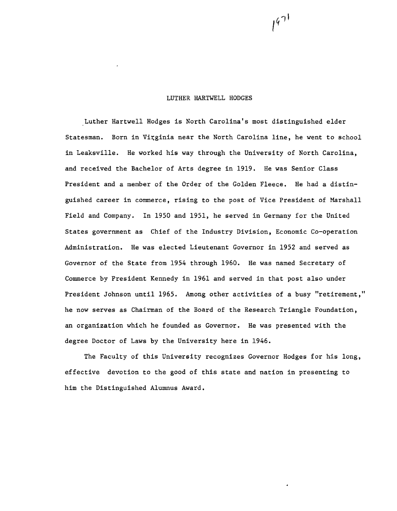# LUTHER HARTWELL HODGES

Luther Hartwell Hodges is North Carolina's most distinguished elder Statesman. Born in Virginia near the North Carolina line, he went to school in Leaksville. He worked his way through the University of North Carolina, and received the Bachelor of Arts degree in 1919. He was Senior Class President and a member of the Order of the Golden Fleece. He had a distinguished career in commerce, rising to the post of Vice President of Marshall Field and Company. In 1950 and 1951, he served in Germany for the United States government as Chief of the Industry Division, Economic Co-operation Administration. He was elected Lieutenant Governor in 1952 and served as Governor of the State from 1954 through 1960. He was named Secretary of Commerce by President Kennedy in 1961 and served in that post also under President Johnson until 1965. Among other activities of a busy "retirement," he now serves as Chairman of the Board of the Research Triangle Foundation, an organization which he founded as Governor. He was presented with the degree Doctor of Laws by the University here in 1946.

The Faculty of this University recognizes Governor Hodges for his long, effective devotion to the good of this state and nation in presenting to him the Distinguished Alumnus Award.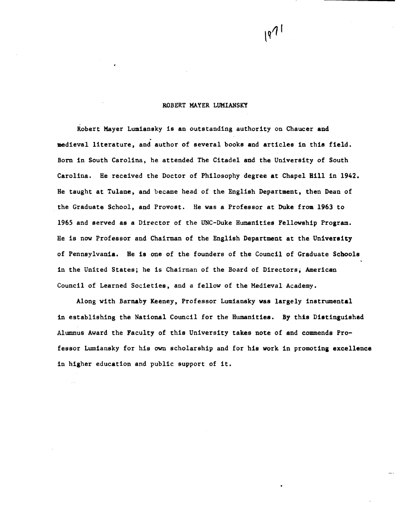#### ROBERT MAYER LUMIANSKY

Robert Mayer Lumiansky is an outstanding authority on Chaucer and . medieval literature, and author of several books and articles in this field. Born in South Carolina, he attended The Citadel and the University of South Carolina. He received the Doctor of Philosophy degree at Chapel Hill in 1942. He taught at Tulane, and became head of the English Department, then Dean of the Graduate School, and Provost. He was a Professor at Duke from 1963 to 1965 and served as a Director of the UNC-Duke Humanities Fellowship Program. He is now Professor and Chairman of the English Department at the University of Pennsylvania. He is one of the founders of the Council of Graduate Schools in the United States; he is Chairman of the Board of Directors, American Council of Learned Societies, and a fellow of the Medieval Academy.

Along with Barnaby Keeney, Professor Lumiansky was largely instrumental in establishing the National Council for the Humanities. By this Distinguished Alumnus Award the Faculty of this University takes note of and commends Professor Lumiansky for his own scholarship and for his work in promoting excellence in higher education and public support of it.

 $19^{71}$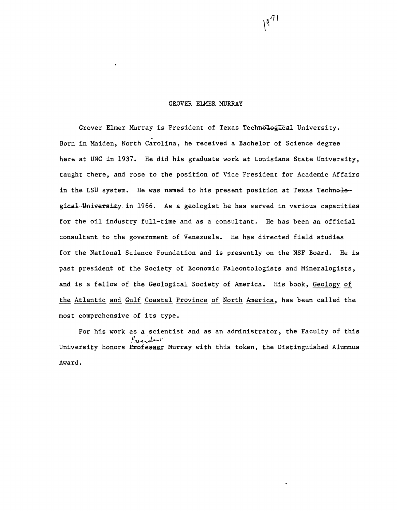#### GROVER ELMER MURRAY

Grover Elmer Murray is President of Texas Technological University. Born in Maiden, North Carolina, he received a Bachelor of Science degree here at UNC in 1937. He did his graduate work at Louisiana State University, taught there, and rose to the position of Vice President for Academic Affairs in the LSU system. He was named to his present position at Texas Technological..Yniversky in 1966. As a geologist he has served in various capacities for the oil industry full-time and as a consultant. He has been an official consultant to the government of Venezuela. He has directed field studies for the National Science Foundation and is presently on the NSF Board. He is past president of the Society of Economic Paleontologists and Mineralogists, and is a fellow of the Geological Society of America. His book, Geology of the Atlantic and Gulf Coastal Province of North America, has been called the most comprehensive of its type.

For his work as a scientist and as an administrator, the Faculty of this President University honors Professor Murray with this token, the Distinguished Alumnus Award.

 $1971$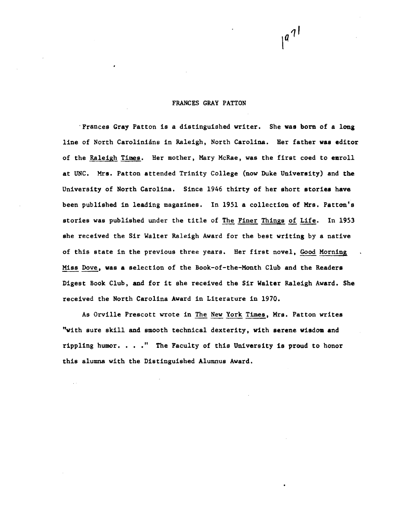## FRANCES GRAY PATTON

'Frances Gray Patton is a distinguished writer. She was born of a long line of North Carolinians in Raleigh, North Carolina. Her father was editor of the Raleigh Times. Her mother, Mary McRae, was the first coed to earoll at UNC. Mrs. Patton attended Trinity College (now Duke University) and the University of North Carolina. Since 1946 thirty of her short stories have been published in leading magazines. In 1951 a collection of Mrs. Patton's stories was published under the title of The Finer Things of Life. In 1953 she received the Sir Walter Raleigh Award for the best writing by a native of this state in the previous three years. Her first novel, Good Morning Miss Dove, was a selection of the Book-of-the-Month Club and the Readers Digest Book Club, and for it she received the Sir Walter Raleigh Award. She received the North Carolina Award in Literature in 1970.

As Orville Prescott wrote in The New York Times, Mrs. Patton writes "With sure skill and smooth technical dexterity, with serene wisdom and rippling humor.  $\ldots$  " The Faculty of this University is proud to honor this alumna with the Distinguished Alumnus Award.